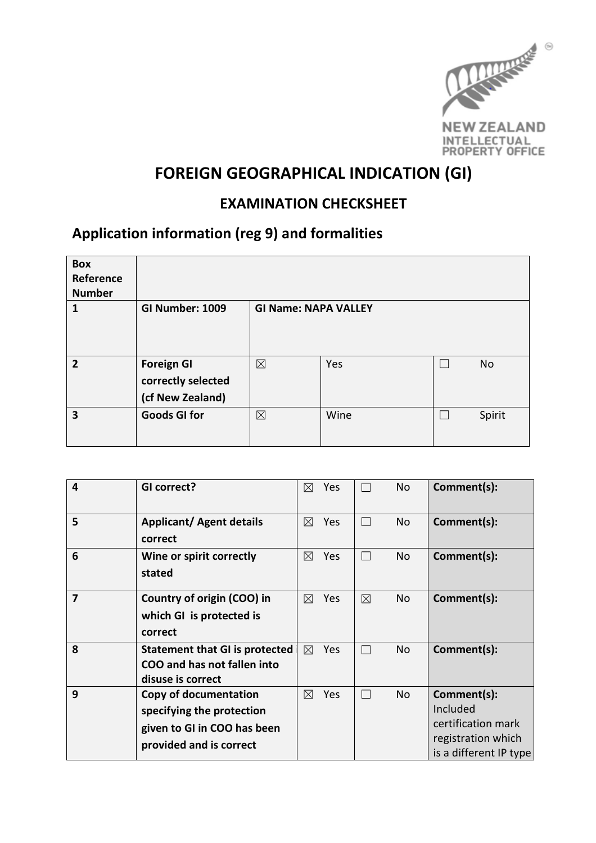

# FOREIGN GEOGRAPHICAL INDICATION (GI)

#### EXAMINATION CHECKSHEET

### Application information (reg 9) and formalities

| <b>Box</b><br>Reference<br><b>Number</b> |                                                             |                             |      |           |
|------------------------------------------|-------------------------------------------------------------|-----------------------------|------|-----------|
| 1                                        | <b>GI Number: 1009</b>                                      | <b>GI Name: NAPA VALLEY</b> |      |           |
| $\overline{2}$                           | <b>Foreign GI</b><br>correctly selected<br>(cf New Zealand) | $\boxtimes$                 | Yes  | <b>No</b> |
| 3                                        | <b>Goods GI for</b>                                         | $\boxtimes$                 | Wine | Spirit    |

| $\overline{4}$ | GI correct?                                                                                                         | ⊠<br>Yes           | <b>No</b>           | Comment(s):                                                                                   |
|----------------|---------------------------------------------------------------------------------------------------------------------|--------------------|---------------------|-----------------------------------------------------------------------------------------------|
| 5              | <b>Applicant/ Agent details</b><br>correct                                                                          | Yes<br>⊠           | <b>No</b><br>$\Box$ | Comment(s):                                                                                   |
| 6              | Wine or spirit correctly<br>stated                                                                                  | Yes<br>⊠           | No<br>$\Box$        | Comment(s):                                                                                   |
| 7              | Country of origin (COO) in<br>which GI is protected is<br>correct                                                   | Yes<br>⊠           | $\boxtimes$<br>No   | Comment(s):                                                                                   |
| 8              | <b>Statement that GI is protected</b><br>COO and has not fallen into<br>disuse is correct                           | $\boxtimes$<br>Yes | <b>No</b>           | Comment(s):                                                                                   |
| 9              | <b>Copy of documentation</b><br>specifying the protection<br>given to GI in COO has been<br>provided and is correct | Yes<br>⊠           | <b>No</b>           | Comment(s):<br>Included<br>certification mark<br>registration which<br>is a different IP type |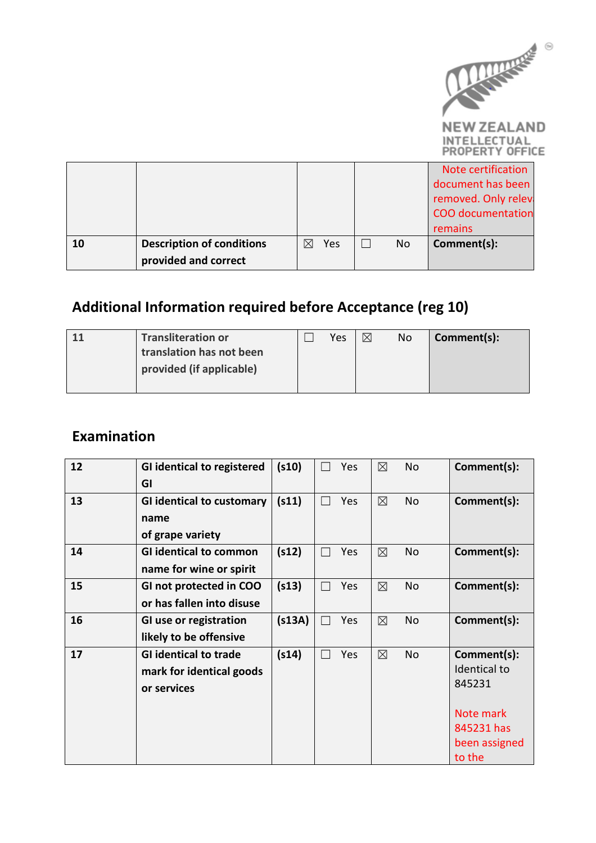

**NEW ZEALAND** INTELLECTUAL<br>PROPERTY OFFICE

|    |                                  |             |     |    | Note certification       |
|----|----------------------------------|-------------|-----|----|--------------------------|
|    |                                  |             |     |    | document has been        |
|    |                                  |             |     |    | removed. Only relev      |
|    |                                  |             |     |    | <b>COO</b> documentation |
|    |                                  |             |     |    | remains                  |
| 10 | <b>Description of conditions</b> | $\boxtimes$ | Yes | No | Comment(s):              |
|    | provided and correct             |             |     |    |                          |

## Additional Information required before Acceptance (reg 10)

| <b>Transliteration or</b> | Yes | $\boxtimes$ | No | Comment(s): |
|---------------------------|-----|-------------|----|-------------|
| translation has not been  |     |             |    |             |
| provided (if applicable)  |     |             |    |             |
|                           |     |             |    |             |

### Examination

| 12 | <b>GI identical to registered</b> | (s10)  | Yes | $\boxtimes$ | <b>No</b> | Comment(s):   |
|----|-----------------------------------|--------|-----|-------------|-----------|---------------|
|    | GI                                |        |     |             |           |               |
| 13 | <b>GI identical to customary</b>  | (s11)  | Yes | $\boxtimes$ | <b>No</b> | Comment(s):   |
|    | name                              |        |     |             |           |               |
|    | of grape variety                  |        |     |             |           |               |
| 14 | <b>GI identical to common</b>     | (s12)  | Yes | $\boxtimes$ | <b>No</b> | Comment(s):   |
|    | name for wine or spirit           |        |     |             |           |               |
| 15 | GI not protected in COO           | (s13)  | Yes | $\boxtimes$ | <b>No</b> | Comment(s):   |
|    | or has fallen into disuse         |        |     |             |           |               |
| 16 | GI use or registration            | (s13A) | Yes | $\boxtimes$ | <b>No</b> | Comment(s):   |
|    | likely to be offensive            |        |     |             |           |               |
| 17 | <b>GI identical to trade</b>      | (s14)  | Yes | $\boxtimes$ | <b>No</b> | Comment(s):   |
|    | mark for identical goods          |        |     |             |           | Identical to  |
|    | or services                       |        |     |             |           | 845231        |
|    |                                   |        |     |             |           | Note mark     |
|    |                                   |        |     |             |           | 845231 has    |
|    |                                   |        |     |             |           |               |
|    |                                   |        |     |             |           | been assigned |
|    |                                   |        |     |             |           | to the        |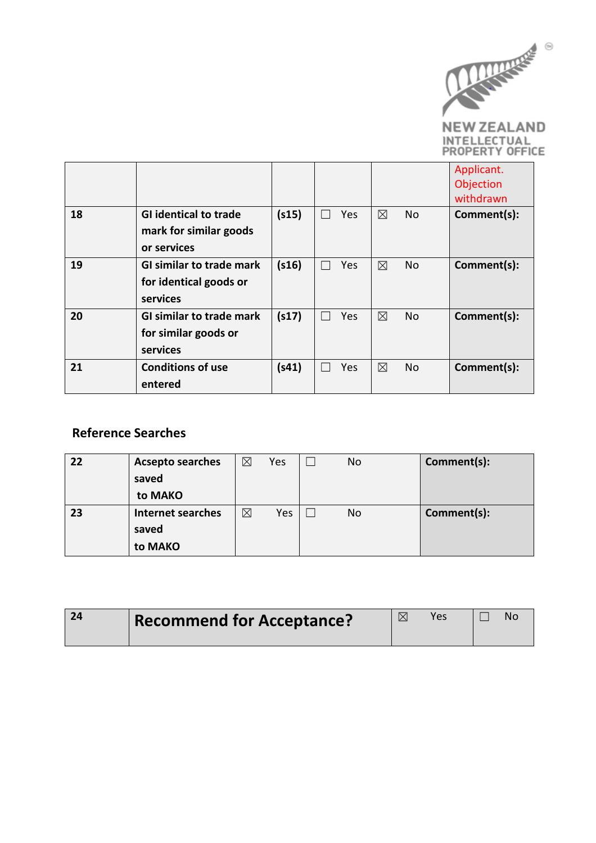

**NEW ZEALAND** INTELLECTUAL<br>PROPERTY OFFICE

|    |                                 |       |            |             |     | Applicant.<br>Objection |
|----|---------------------------------|-------|------------|-------------|-----|-------------------------|
|    |                                 |       |            |             |     | withdrawn               |
| 18 | <b>GI identical to trade</b>    | (s15) | Yes        | $\boxtimes$ | No  | Comment(s):             |
|    | mark for similar goods          |       |            |             |     |                         |
|    | or services                     |       |            |             |     |                         |
| 19 | <b>GI similar to trade mark</b> | (s16) | <b>Yes</b> | ⊠           | No. | Comment(s):             |
|    | for identical goods or          |       |            |             |     |                         |
|    | services                        |       |            |             |     |                         |
| 20 | <b>GI similar to trade mark</b> | (s17) | Yes.       | ⊠           | No. | Comment(s):             |
|    | for similar goods or            |       |            |             |     |                         |
|    | services                        |       |            |             |     |                         |
| 21 | <b>Conditions of use</b>        | (s41) | Yes        | ⊠           | No. | Comment(s):             |
|    | entered                         |       |            |             |     |                         |

#### Reference Searches

| 22 | <b>Acsepto searches</b><br>saved<br>to MAKO  | $\boxtimes$ | Yes | No | Comment(s): |
|----|----------------------------------------------|-------------|-----|----|-------------|
| 23 | <b>Internet searches</b><br>saved<br>to MAKO | $\boxtimes$ | Yes | No | Comment(s): |

| 24 | <b>Recommend for Acceptance?</b> | Yes | NΩ |
|----|----------------------------------|-----|----|
|    |                                  |     |    |